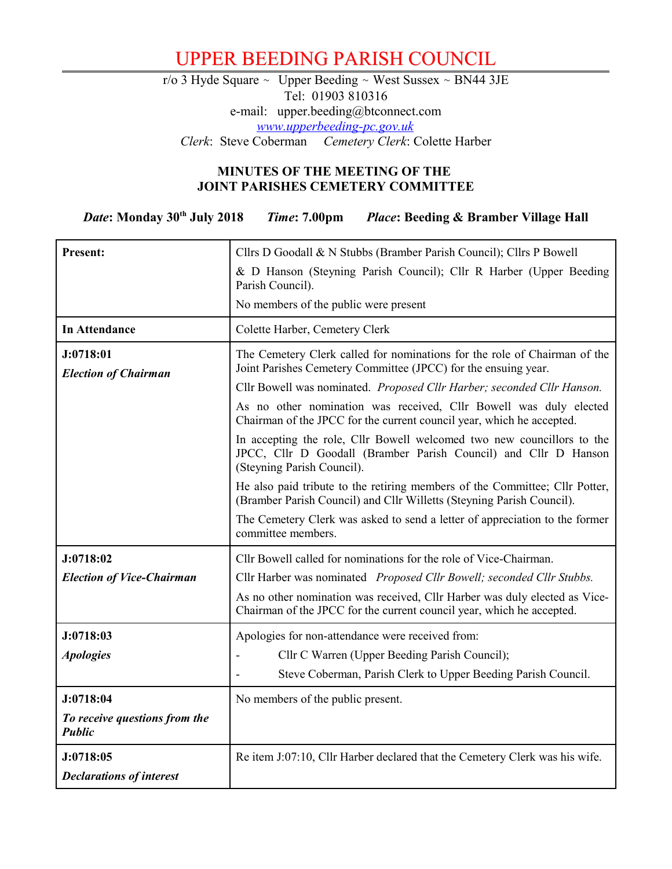## UPPER BEEDING PARISH COUNCIL

r/o 3 Hyde Square ~ Upper Beeding ~ West Sussex ~ BN44 3JE Tel: 01903 810316 e-mail: upper.beeding@btconnect.com *[www.upperbeeding-pc.gov.uk](http://www.upperbeeding-pc.gov.uk/) Clerk*: Steve Coberman *Cemetery Clerk*: Colette Harber

## **MINUTES OF THE MEETING OF THE JOINT PARISHES CEMETERY COMMITTEE**

*Date***: Monday 30th July 2018** *Time***: 7.00pm** *Place***: Beeding & Bramber Village Hall**

| Present:                                       | Cllrs D Goodall & N Stubbs (Bramber Parish Council); Cllrs P Bowell                                                                                                     |  |  |  |
|------------------------------------------------|-------------------------------------------------------------------------------------------------------------------------------------------------------------------------|--|--|--|
|                                                | & D Hanson (Steyning Parish Council); Cllr R Harber (Upper Beeding                                                                                                      |  |  |  |
|                                                | Parish Council).                                                                                                                                                        |  |  |  |
|                                                | No members of the public were present                                                                                                                                   |  |  |  |
| <b>In Attendance</b>                           | Colette Harber, Cemetery Clerk                                                                                                                                          |  |  |  |
| J:0718:01                                      | The Cemetery Clerk called for nominations for the role of Chairman of the<br>Joint Parishes Cemetery Committee (JPCC) for the ensuing year.                             |  |  |  |
| <b>Election of Chairman</b>                    | Cllr Bowell was nominated. Proposed Cllr Harber; seconded Cllr Hanson.                                                                                                  |  |  |  |
|                                                | As no other nomination was received, Cllr Bowell was duly elected<br>Chairman of the JPCC for the current council year, which he accepted.                              |  |  |  |
|                                                | In accepting the role, Cllr Bowell welcomed two new councillors to the<br>JPCC, Cllr D Goodall (Bramber Parish Council) and Cllr D Hanson<br>(Steyning Parish Council). |  |  |  |
|                                                | He also paid tribute to the retiring members of the Committee; Cllr Potter,<br>(Bramber Parish Council) and Cllr Willetts (Steyning Parish Council).                    |  |  |  |
|                                                | The Cemetery Clerk was asked to send a letter of appreciation to the former<br>committee members.                                                                       |  |  |  |
| J:0718:02                                      | Cllr Bowell called for nominations for the role of Vice-Chairman.                                                                                                       |  |  |  |
| <b>Election of Vice-Chairman</b>               | Cllr Harber was nominated Proposed Cllr Bowell; seconded Cllr Stubbs.                                                                                                   |  |  |  |
|                                                | As no other nomination was received, Cllr Harber was duly elected as Vice-<br>Chairman of the JPCC for the current council year, which he accepted.                     |  |  |  |
| J:0718:03                                      | Apologies for non-attendance were received from:                                                                                                                        |  |  |  |
| <b>Apologies</b>                               | Cllr C Warren (Upper Beeding Parish Council);                                                                                                                           |  |  |  |
|                                                | Steve Coberman, Parish Clerk to Upper Beeding Parish Council.                                                                                                           |  |  |  |
| J:0718:04                                      | No members of the public present.                                                                                                                                       |  |  |  |
| To receive questions from the<br><b>Public</b> |                                                                                                                                                                         |  |  |  |
| J:0718:05                                      | Re item J:07:10, Cllr Harber declared that the Cemetery Clerk was his wife.                                                                                             |  |  |  |
| <b>Declarations of interest</b>                |                                                                                                                                                                         |  |  |  |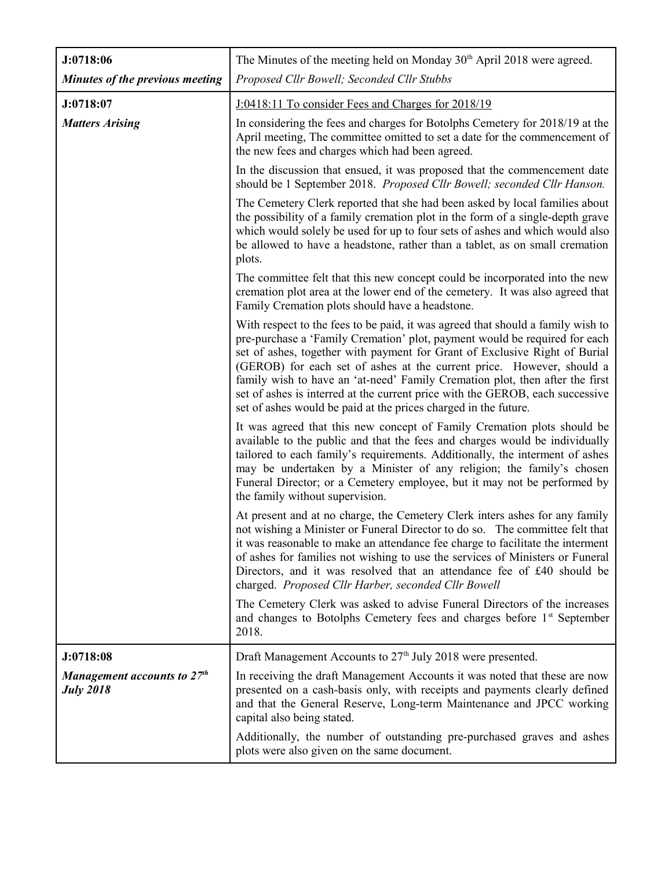| J:0718:06                                         | The Minutes of the meeting held on Monday 30 <sup>th</sup> April 2018 were agreed.                                                                                                                                                                                                                                                                                                                                                                                                                                                                       |  |  |  |  |
|---------------------------------------------------|----------------------------------------------------------------------------------------------------------------------------------------------------------------------------------------------------------------------------------------------------------------------------------------------------------------------------------------------------------------------------------------------------------------------------------------------------------------------------------------------------------------------------------------------------------|--|--|--|--|
| Minutes of the previous meeting                   | Proposed Cllr Bowell; Seconded Cllr Stubbs                                                                                                                                                                                                                                                                                                                                                                                                                                                                                                               |  |  |  |  |
| J:0718:07                                         | J:0418:11 To consider Fees and Charges for 2018/19                                                                                                                                                                                                                                                                                                                                                                                                                                                                                                       |  |  |  |  |
| <b>Matters Arising</b>                            | In considering the fees and charges for Botolphs Cemetery for 2018/19 at the<br>April meeting, The committee omitted to set a date for the commencement of<br>the new fees and charges which had been agreed.                                                                                                                                                                                                                                                                                                                                            |  |  |  |  |
|                                                   | In the discussion that ensued, it was proposed that the commencement date<br>should be 1 September 2018. Proposed Cllr Bowell; seconded Cllr Hanson.                                                                                                                                                                                                                                                                                                                                                                                                     |  |  |  |  |
|                                                   | The Cemetery Clerk reported that she had been asked by local families about<br>the possibility of a family cremation plot in the form of a single-depth grave<br>which would solely be used for up to four sets of ashes and which would also<br>be allowed to have a headstone, rather than a tablet, as on small cremation<br>plots.                                                                                                                                                                                                                   |  |  |  |  |
|                                                   | The committee felt that this new concept could be incorporated into the new<br>cremation plot area at the lower end of the cemetery. It was also agreed that<br>Family Cremation plots should have a headstone.                                                                                                                                                                                                                                                                                                                                          |  |  |  |  |
|                                                   | With respect to the fees to be paid, it was agreed that should a family wish to<br>pre-purchase a 'Family Cremation' plot, payment would be required for each<br>set of ashes, together with payment for Grant of Exclusive Right of Burial<br>(GEROB) for each set of ashes at the current price. However, should a<br>family wish to have an 'at-need' Family Cremation plot, then after the first<br>set of ashes is interred at the current price with the GEROB, each successive<br>set of ashes would be paid at the prices charged in the future. |  |  |  |  |
|                                                   | It was agreed that this new concept of Family Cremation plots should be<br>available to the public and that the fees and charges would be individually<br>tailored to each family's requirements. Additionally, the interment of ashes<br>may be undertaken by a Minister of any religion; the family's chosen<br>Funeral Director; or a Cemetery employee, but it may not be performed by<br>the family without supervision.                                                                                                                            |  |  |  |  |
|                                                   | At present and at no charge, the Cemetery Clerk inters ashes for any family<br>not wishing a Minister or Funeral Director to do so. The committee felt that<br>it was reasonable to make an attendance fee charge to facilitate the interment<br>of ashes for families not wishing to use the services of Ministers or Funeral<br>Directors, and it was resolved that an attendance fee of £40 should be<br>charged. Proposed Cllr Harber, seconded Cllr Bowell                                                                                          |  |  |  |  |
|                                                   | The Cemetery Clerk was asked to advise Funeral Directors of the increases<br>and changes to Botolphs Cemetery fees and charges before 1st September<br>2018.                                                                                                                                                                                                                                                                                                                                                                                             |  |  |  |  |
| J:0718:08                                         | Draft Management Accounts to 27 <sup>th</sup> July 2018 were presented.                                                                                                                                                                                                                                                                                                                                                                                                                                                                                  |  |  |  |  |
| Management accounts to $27th$<br><b>July 2018</b> | In receiving the draft Management Accounts it was noted that these are now<br>presented on a cash-basis only, with receipts and payments clearly defined<br>and that the General Reserve, Long-term Maintenance and JPCC working<br>capital also being stated.                                                                                                                                                                                                                                                                                           |  |  |  |  |
|                                                   | Additionally, the number of outstanding pre-purchased graves and ashes<br>plots were also given on the same document.                                                                                                                                                                                                                                                                                                                                                                                                                                    |  |  |  |  |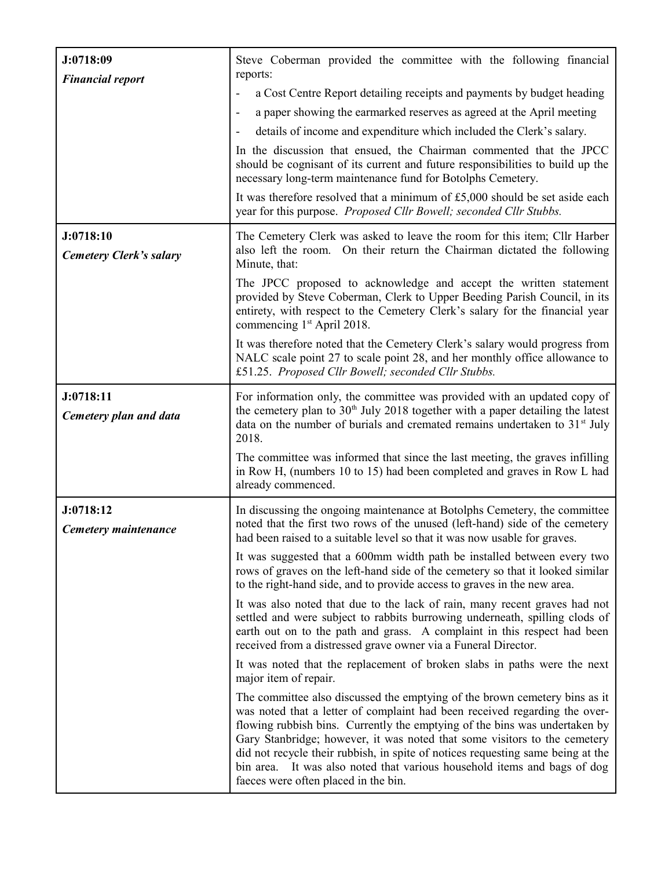| J:0718:09                                   | Steve Coberman provided the committee with the following financial<br>reports:                                                                                                                                                                                                                                                                                                                                                                                                                                             |  |  |  |  |
|---------------------------------------------|----------------------------------------------------------------------------------------------------------------------------------------------------------------------------------------------------------------------------------------------------------------------------------------------------------------------------------------------------------------------------------------------------------------------------------------------------------------------------------------------------------------------------|--|--|--|--|
| <b>Financial report</b>                     | a Cost Centre Report detailing receipts and payments by budget heading<br>$\qquad \qquad \blacksquare$                                                                                                                                                                                                                                                                                                                                                                                                                     |  |  |  |  |
|                                             | a paper showing the earmarked reserves as agreed at the April meeting<br>$\overline{\phantom{a}}$                                                                                                                                                                                                                                                                                                                                                                                                                          |  |  |  |  |
|                                             | details of income and expenditure which included the Clerk's salary.<br>$\overline{\phantom{a}}$                                                                                                                                                                                                                                                                                                                                                                                                                           |  |  |  |  |
|                                             | In the discussion that ensued, the Chairman commented that the JPCC<br>should be cognisant of its current and future responsibilities to build up the<br>necessary long-term maintenance fund for Botolphs Cemetery.                                                                                                                                                                                                                                                                                                       |  |  |  |  |
|                                             | It was therefore resolved that a minimum of $£5,000$ should be set aside each<br>year for this purpose. Proposed Cllr Bowell; seconded Cllr Stubbs.                                                                                                                                                                                                                                                                                                                                                                        |  |  |  |  |
| J:0718:10<br><b>Cemetery Clerk's salary</b> | The Cemetery Clerk was asked to leave the room for this item; Cllr Harber<br>also left the room. On their return the Chairman dictated the following<br>Minute, that:                                                                                                                                                                                                                                                                                                                                                      |  |  |  |  |
|                                             | The JPCC proposed to acknowledge and accept the written statement<br>provided by Steve Coberman, Clerk to Upper Beeding Parish Council, in its<br>entirety, with respect to the Cemetery Clerk's salary for the financial year<br>commencing 1 <sup>st</sup> April 2018.                                                                                                                                                                                                                                                   |  |  |  |  |
|                                             | It was therefore noted that the Cemetery Clerk's salary would progress from<br>NALC scale point 27 to scale point 28, and her monthly office allowance to<br>£51.25. Proposed Cllr Bowell; seconded Cllr Stubbs.                                                                                                                                                                                                                                                                                                           |  |  |  |  |
| J:0718:11<br>Cemetery plan and data         | For information only, the committee was provided with an updated copy of<br>the cemetery plan to $30th$ July 2018 together with a paper detailing the latest<br>data on the number of burials and cremated remains undertaken to 31 <sup>st</sup> July<br>2018.                                                                                                                                                                                                                                                            |  |  |  |  |
|                                             | The committee was informed that since the last meeting, the graves infilling<br>in Row H, (numbers 10 to 15) had been completed and graves in Row L had<br>already commenced.                                                                                                                                                                                                                                                                                                                                              |  |  |  |  |
| J:0718:12<br>Cemetery maintenance           | In discussing the ongoing maintenance at Botolphs Cemetery, the committee<br>noted that the first two rows of the unused (left-hand) side of the cemetery<br>had been raised to a suitable level so that it was now usable for graves.                                                                                                                                                                                                                                                                                     |  |  |  |  |
|                                             | It was suggested that a 600mm width path be installed between every two<br>rows of graves on the left-hand side of the cemetery so that it looked similar<br>to the right-hand side, and to provide access to graves in the new area.                                                                                                                                                                                                                                                                                      |  |  |  |  |
|                                             | It was also noted that due to the lack of rain, many recent graves had not<br>settled and were subject to rabbits burrowing underneath, spilling clods of<br>earth out on to the path and grass. A complaint in this respect had been<br>received from a distressed grave owner via a Funeral Director.                                                                                                                                                                                                                    |  |  |  |  |
|                                             | It was noted that the replacement of broken slabs in paths were the next<br>major item of repair.                                                                                                                                                                                                                                                                                                                                                                                                                          |  |  |  |  |
|                                             | The committee also discussed the emptying of the brown cemetery bins as it<br>was noted that a letter of complaint had been received regarding the over-<br>flowing rubbish bins. Currently the emptying of the bins was undertaken by<br>Gary Stanbridge; however, it was noted that some visitors to the cemetery<br>did not recycle their rubbish, in spite of notices requesting same being at the<br>bin area. It was also noted that various household items and bags of dog<br>faeces were often placed in the bin. |  |  |  |  |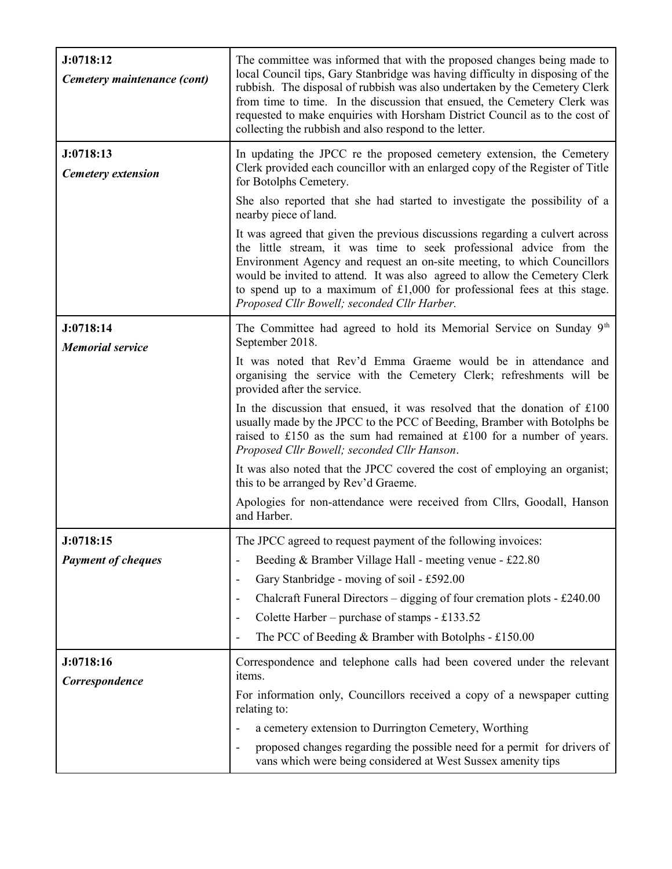| J:0718:12<br>Cemetery maintenance (cont) | The committee was informed that with the proposed changes being made to<br>local Council tips, Gary Stanbridge was having difficulty in disposing of the<br>rubbish. The disposal of rubbish was also undertaken by the Cemetery Clerk<br>from time to time. In the discussion that ensued, the Cemetery Clerk was<br>requested to make enquiries with Horsham District Council as to the cost of<br>collecting the rubbish and also respond to the letter.                                                                                                                                                                                                                                                                                                        |  |  |  |
|------------------------------------------|--------------------------------------------------------------------------------------------------------------------------------------------------------------------------------------------------------------------------------------------------------------------------------------------------------------------------------------------------------------------------------------------------------------------------------------------------------------------------------------------------------------------------------------------------------------------------------------------------------------------------------------------------------------------------------------------------------------------------------------------------------------------|--|--|--|
| J:0718:13<br><b>Cemetery extension</b>   | In updating the JPCC re the proposed cemetery extension, the Cemetery<br>Clerk provided each councillor with an enlarged copy of the Register of Title<br>for Botolphs Cemetery.<br>She also reported that she had started to investigate the possibility of a                                                                                                                                                                                                                                                                                                                                                                                                                                                                                                     |  |  |  |
|                                          | nearby piece of land.<br>It was agreed that given the previous discussions regarding a culvert across<br>the little stream, it was time to seek professional advice from the<br>Environment Agency and request an on-site meeting, to which Councillors<br>would be invited to attend. It was also agreed to allow the Cemetery Clerk<br>to spend up to a maximum of $£1,000$ for professional fees at this stage.<br>Proposed Cllr Bowell; seconded Cllr Harber.                                                                                                                                                                                                                                                                                                  |  |  |  |
| J:0718:14<br><b>Memorial service</b>     | The Committee had agreed to hold its Memorial Service on Sunday $9th$<br>September 2018.<br>It was noted that Rev'd Emma Graeme would be in attendance and<br>organising the service with the Cemetery Clerk; refreshments will be<br>provided after the service.<br>In the discussion that ensued, it was resolved that the donation of $£100$<br>usually made by the JPCC to the PCC of Beeding, Bramber with Botolphs be<br>raised to £150 as the sum had remained at £100 for a number of years.<br>Proposed Cllr Bowell; seconded Cllr Hanson.<br>It was also noted that the JPCC covered the cost of employing an organist;<br>this to be arranged by Rev'd Graeme.<br>Apologies for non-attendance were received from Cllrs, Goodall, Hanson<br>and Harber. |  |  |  |
| J:0718:15<br><b>Payment of cheques</b>   | The JPCC agreed to request payment of the following invoices:<br>Beeding & Bramber Village Hall - meeting venue - £22.80<br>-<br>Gary Stanbridge - moving of soil - £592.00<br>$\overline{\phantom{a}}$<br>Chalcraft Funeral Directors - digging of four cremation plots - £240.00<br>$\overline{\phantom{a}}$<br>Colette Harber – purchase of stamps - £133.52<br>$\overline{\phantom{a}}$<br>The PCC of Beeding & Bramber with Botolphs - £150.00<br>٠                                                                                                                                                                                                                                                                                                           |  |  |  |
| J:0718:16<br>Correspondence              | Correspondence and telephone calls had been covered under the relevant<br>items.<br>For information only, Councillors received a copy of a newspaper cutting<br>relating to:<br>a cemetery extension to Durrington Cemetery, Worthing<br>$\qquad \qquad \blacksquare$<br>proposed changes regarding the possible need for a permit for drivers of<br>$\qquad \qquad \blacksquare$<br>vans which were being considered at West Sussex amenity tips                                                                                                                                                                                                                                                                                                                  |  |  |  |